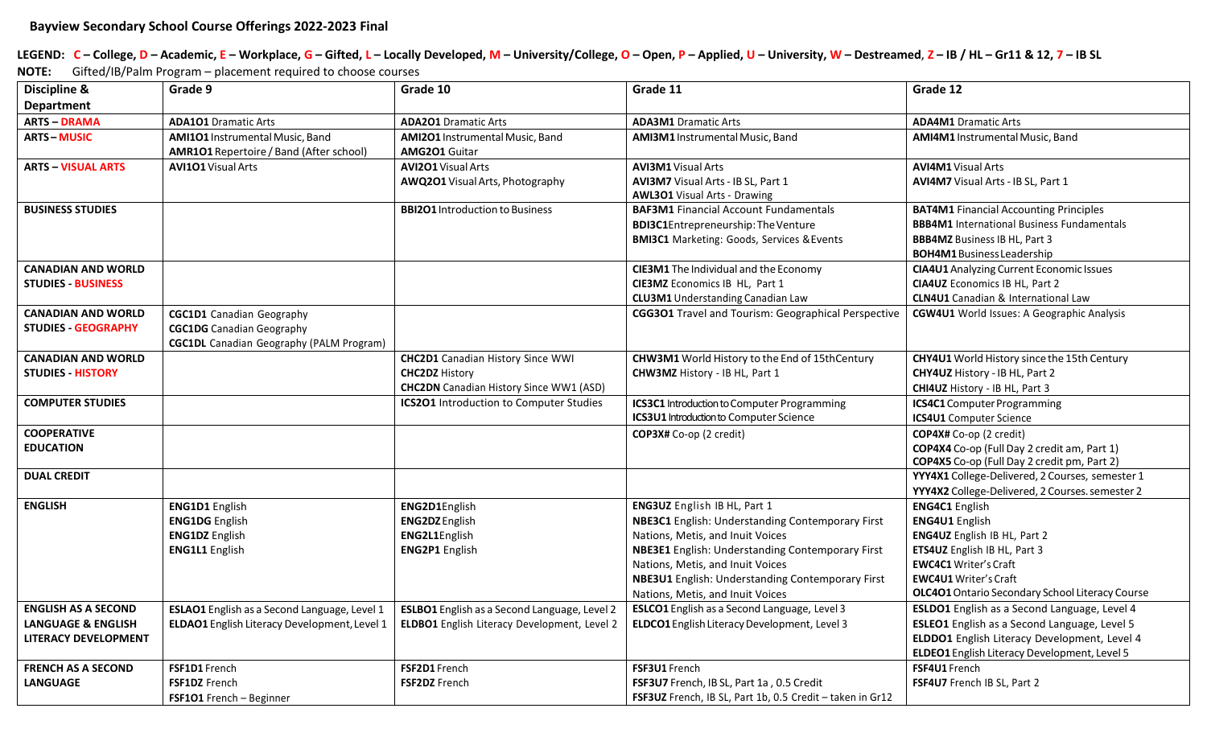LEGEND: C - College, D - Academic, E - Workplace, G - Gifted, L - Locally Developed, M - University/College, O - Open, P - Applied, U - University, W - Destreamed, Z - IB / HL - Gr11 & 12, 7 - IB SL **NOTE:** Gifted/IB/Palm Program – placement required to choose courses

| Discipline &                  | Grade 9                                         | Grade 10                                       | Grade 11                                                  | Grade 12                                            |
|-------------------------------|-------------------------------------------------|------------------------------------------------|-----------------------------------------------------------|-----------------------------------------------------|
| <b>Department</b>             |                                                 |                                                |                                                           |                                                     |
| <b>ARTS - DRAMA</b>           | <b>ADA101 Dramatic Arts</b>                     | <b>ADA201 Dramatic Arts</b>                    | <b>ADA3M1</b> Dramatic Arts                               | <b>ADA4M1</b> Dramatic Arts                         |
| <b>ARTS-MUSIC</b>             | AMI101 Instrumental Music, Band                 | <b>AMI2O1</b> Instrumental Music, Band         | AMI3M1 Instrumental Music, Band                           | AMI4M1 Instrumental Music, Band                     |
|                               | <b>AMR1O1</b> Repertoire / Band (After school)  | <b>AMG2O1 Guitar</b>                           |                                                           |                                                     |
| <b>ARTS - VISUAL ARTS</b>     | <b>AVI101</b> Visual Arts                       | <b>AVI2O1</b> Visual Arts                      | <b>AVI3M1</b> Visual Arts                                 | <b>AVI4M1</b> Visual Arts                           |
|                               |                                                 | AWQ201 Visual Arts, Photography                | AVI3M7 Visual Arts - IB SL, Part 1                        | AVI4M7 Visual Arts - IB SL, Part 1                  |
|                               |                                                 |                                                | <b>AWL301</b> Visual Arts - Drawing                       |                                                     |
| <b>BUSINESS STUDIES</b>       |                                                 | <b>BBI2O1</b> Introduction to Business         | <b>BAF3M1</b> Financial Account Fundamentals              | <b>BAT4M1</b> Financial Accounting Principles       |
|                               |                                                 |                                                | <b>BDI3C1Entrepreneurship: The Venture</b>                | <b>BBB4M1</b> International Business Fundamentals   |
|                               |                                                 |                                                | <b>BMI3C1</b> Marketing: Goods, Services & Events         | <b>BBB4MZ</b> Business IB HL, Part 3                |
|                               |                                                 |                                                |                                                           | <b>BOH4M1</b> Business Leadership                   |
| <b>CANADIAN AND WORLD</b>     |                                                 |                                                | CIE3M1 The Individual and the Economy                     | <b>CIA4U1</b> Analyzing Current Economic Issues     |
| <b>STUDIES - BUSINESS</b>     |                                                 |                                                | CIE3MZ Economics IB HL, Part 1                            | <b>CIA4UZ</b> Economics IB HL, Part 2               |
|                               |                                                 |                                                | <b>CLU3M1</b> Understanding Canadian Law                  | <b>CLN4U1</b> Canadian & International Law          |
| <b>CANADIAN AND WORLD</b>     | <b>CGC1D1</b> Canadian Geography                |                                                | CGG301 Travel and Tourism: Geographical Perspective       | <b>CGW4U1</b> World Issues: A Geographic Analysis   |
| <b>STUDIES - GEOGRAPHY</b>    | <b>CGC1DG</b> Canadian Geography                |                                                |                                                           |                                                     |
|                               | <b>CGC1DL</b> Canadian Geography (PALM Program) |                                                |                                                           |                                                     |
| <b>CANADIAN AND WORLD</b>     |                                                 | <b>CHC2D1</b> Canadian History Since WWI       | CHW3M1 World History to the End of 15thCentury            | CHY4U1 World History since the 15th Century         |
| <b>STUDIES - HISTORY</b>      |                                                 | <b>CHC2DZ History</b>                          | CHW3MZ History - IB HL, Part 1                            | CHY4UZ History - IB HL, Part 2                      |
|                               |                                                 | <b>CHC2DN</b> Canadian History Since WW1 (ASD) |                                                           | CHI4UZ History - IB HL, Part 3                      |
| <b>COMPUTER STUDIES</b>       |                                                 | ICS201 Introduction to Computer Studies        | <b>ICS3C1</b> Introduction to Computer Programming        | <b>ICS4C1</b> Computer Programming                  |
|                               |                                                 |                                                | <b>ICS3U1</b> Introduction to Computer Science            | <b>ICS4U1</b> Computer Science                      |
| <b>COOPERATIVE</b>            |                                                 |                                                | COP3X# Co-op (2 credit)                                   | COP4X# Co-op (2 credit)                             |
| <b>EDUCATION</b>              |                                                 |                                                |                                                           | COP4X4 Co-op (Full Day 2 credit am, Part 1)         |
|                               |                                                 |                                                |                                                           | COP4X5 Co-op (Full Day 2 credit pm, Part 2)         |
| <b>DUAL CREDIT</b>            |                                                 |                                                |                                                           | YYY4X1 College-Delivered, 2 Courses, semester 1     |
|                               |                                                 |                                                |                                                           | YYY4X2 College-Delivered, 2 Courses. semester 2     |
| <b>ENGLISH</b>                | <b>ENG1D1</b> English                           | ENG2D1English                                  | ENG3UZ English IB HL, Part 1                              | <b>ENG4C1</b> English                               |
|                               | <b>ENG1DG</b> English                           | <b>ENG2DZ</b> English                          | <b>NBE3C1</b> English: Understanding Contemporary First   | <b>ENG4U1 English</b>                               |
|                               | <b>ENG1DZ</b> English                           | ENG2L1English                                  | Nations, Metis, and Inuit Voices                          | ENG4UZ English IB HL, Part 2                        |
|                               | <b>ENG1L1</b> English                           | <b>ENG2P1</b> English                          | <b>NBE3E1</b> English: Understanding Contemporary First   | ETS4UZ English IB HL, Part 3                        |
|                               |                                                 |                                                | Nations, Metis, and Inuit Voices                          | <b>EWC4C1 Writer's Craft</b>                        |
|                               |                                                 |                                                | <b>NBE3U1</b> English: Understanding Contemporary First   | <b>EWC4U1</b> Writer's Craft                        |
|                               |                                                 |                                                | Nations, Metis, and Inuit Voices                          | OLC401 Ontario Secondary School Literacy Course     |
| <b>ENGLISH AS A SECOND</b>    | ESLAO1 English as a Second Language, Level 1    | ESLBO1 English as a Second Language, Level 2   | ESLCO1 English as a Second Language, Level 3              | ESLDO1 English as a Second Language, Level 4        |
| <b>LANGUAGE &amp; ENGLISH</b> | ELDAO1 English Literacy Development, Level 1    | ELDBO1 English Literacy Development, Level 2   | ELDCO1 English Literacy Development, Level 3              | <b>ESLEO1</b> English as a Second Language, Level 5 |
| <b>LITERACY DEVELOPMENT</b>   |                                                 |                                                |                                                           | ELDDO1 English Literacy Development, Level 4        |
|                               |                                                 |                                                |                                                           | ELDEO1 English Literacy Development, Level 5        |
| <b>FRENCH AS A SECOND</b>     | FSF1D1 French                                   | FSF2D1 French                                  | FSF3U1 French                                             | FSF4U1 French                                       |
| <b>LANGUAGE</b>               | <b>FSF1DZ</b> French                            | <b>FSF2DZ</b> French                           | FSF3U7 French, IB SL, Part 1a, 0.5 Credit                 | FSF4U7 French IB SL, Part 2                         |
|                               | FSF101 French - Beginner                        |                                                | FSF3UZ French, IB SL, Part 1b, 0.5 Credit - taken in Gr12 |                                                     |